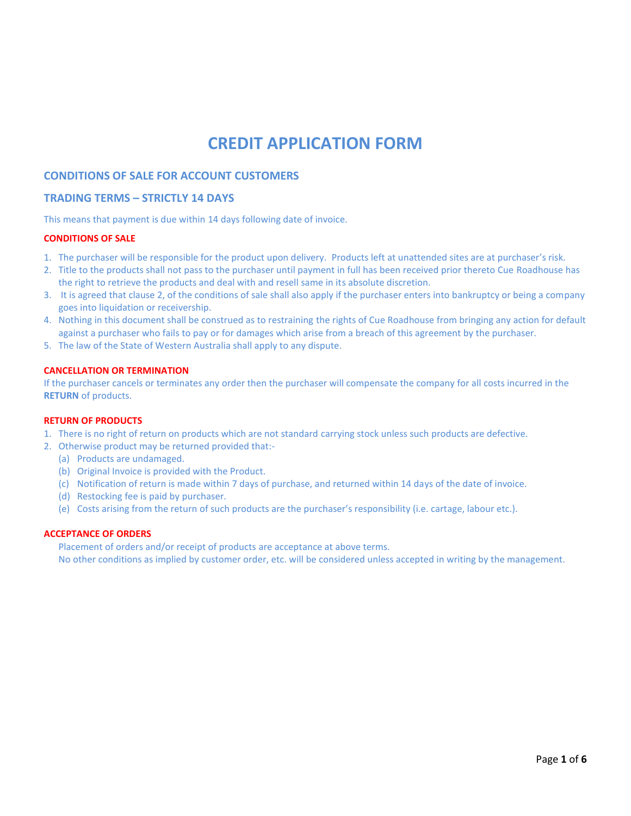# **CREDIT APPLICATION FORM**

## **CONDITIONS OF SALE FOR ACCOUNT CUSTOMERS**

## **TRADING TERMS – STRICTLY 14 DAYS**

This means that payment is due within 14 days following date of invoice.

#### **CONDITIONS OF SALE**

- 1. The purchaser will be responsible for the product upon delivery. Products left at unattended sites are at purchaser's risk.
- 2. Title to the products shall not pass to the purchaser until payment in full has been received prior thereto Cue Roadhouse has the right to retrieve the products and deal with and resell same in its absolute discretion.
- 3. It is agreed that clause 2, of the conditions of sale shall also apply if the purchaser enters into bankruptcy or being a company goes into liquidation or receivership.
- 4. Nothing in this document shall be construed as to restraining the rights of Cue Roadhouse from bringing any action for default against a purchaser who fails to pay or for damages which arise from a breach of this agreement by the purchaser.
- 5. The law of the State of Western Australia shall apply to any dispute.

#### **CANCELLATION OR TERMINATION**

If the purchaser cancels or terminates any order then the purchaser will compensate the company for all costs incurred in the **RETURN** of products.

## **RETURN OF PRODUCTS**

- 1. There is no right of return on products which are not standard carrying stock unless such products are defective.
- 2. Otherwise product may be returned provided that:-
	- (a) Products are undamaged.
	- (b) Original Invoice is provided with the Product.
	- (c) Notification of return is made within 7 days of purchase, and returned within 14 days of the date of invoice.
	- (d) Restocking fee is paid by purchaser.
	- (e) Costs arising from the return of such products are the purchaser's responsibility (i.e. cartage, labour etc.).

#### **ACCEPTANCE OF ORDERS**

Placement of orders and/or receipt of products are acceptance at above terms. No other conditions as implied by customer order, etc. will be considered unless accepted in writing by the management.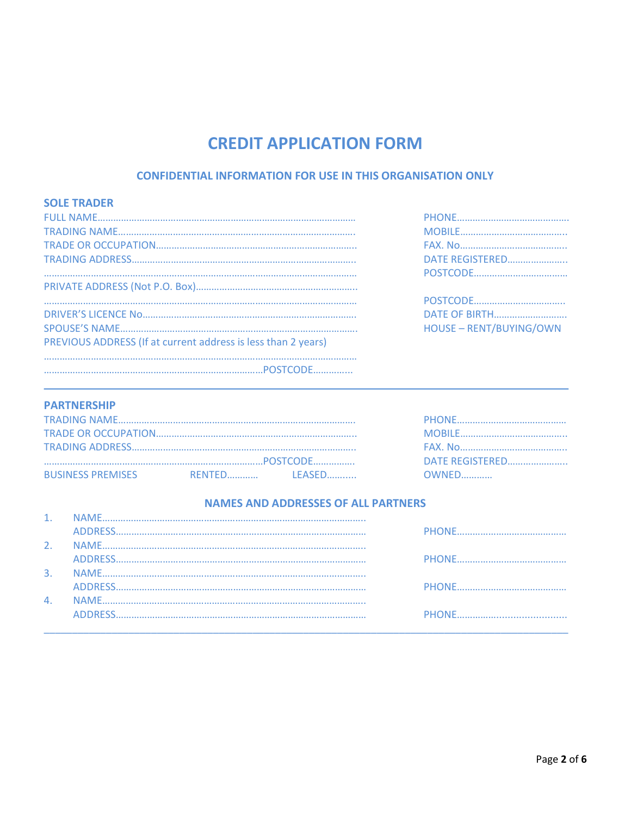# **CREDIT APPLICATION FORM**

## **CONFIDENTIAL INFORMATION FOR USE IN THIS ORGANISATION ONLY**

| <b>SOLE TRADER</b>                                            |                                |
|---------------------------------------------------------------|--------------------------------|
|                                                               |                                |
|                                                               |                                |
|                                                               |                                |
|                                                               | DATE REGISTERED                |
|                                                               |                                |
|                                                               |                                |
|                                                               |                                |
|                                                               |                                |
|                                                               | <b>HOUSE - RENT/BUYING/OWN</b> |
| PREVIOUS ADDRESS (If at current address is less than 2 years) |                                |
|                                                               |                                |
|                                                               |                                |
|                                                               |                                |

| DATE REGISTERED         |
|-------------------------|
|                         |
|                         |
|                         |
| <b>DATE OF BIRTH</b>    |
| HOUSE - RENT/BUYING/OWN |
|                         |

### **PARTNERSHIP**

|                          |  | DATE REGISTERED |              |
|--------------------------|--|-----------------|--------------|
| <b>BUSINESS PREMISES</b> |  |                 | <b>OWNED</b> |

## **NAMES AND ADDRESSES OF ALL PARTNERS**

| $\mathbf{4}$ |  |
|--------------|--|
|              |  |
|              |  |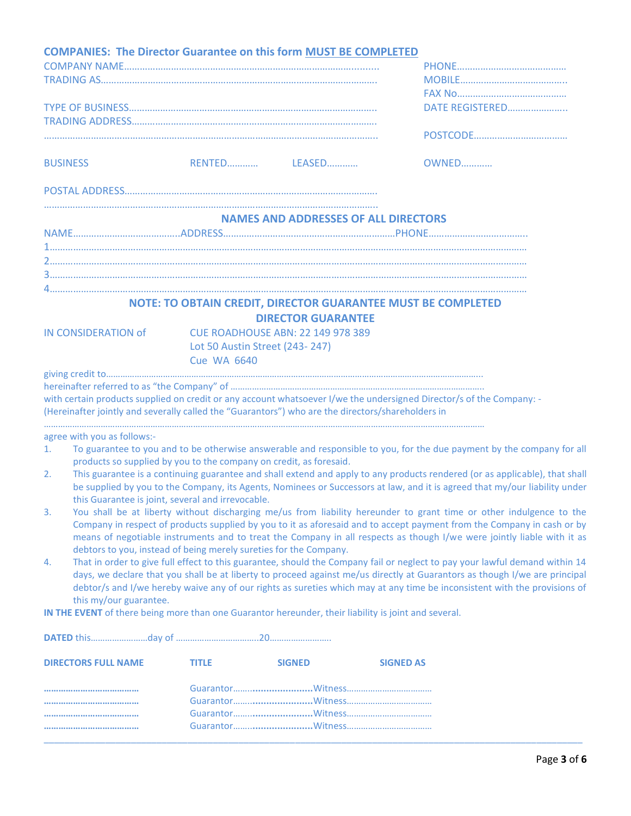| <b>COMPANIES: The Director Guarantee on this form MUST BE COMPLETED</b>                                                                                                                                                   |                    |                                                              |                  |                                                                                                                                                                                                                                                                                                                                                                                        |
|---------------------------------------------------------------------------------------------------------------------------------------------------------------------------------------------------------------------------|--------------------|--------------------------------------------------------------|------------------|----------------------------------------------------------------------------------------------------------------------------------------------------------------------------------------------------------------------------------------------------------------------------------------------------------------------------------------------------------------------------------------|
|                                                                                                                                                                                                                           |                    |                                                              |                  | DATE REGISTERED                                                                                                                                                                                                                                                                                                                                                                        |
|                                                                                                                                                                                                                           |                    |                                                              |                  |                                                                                                                                                                                                                                                                                                                                                                                        |
| <b>BUSINESS</b>                                                                                                                                                                                                           |                    |                                                              |                  | OWNED                                                                                                                                                                                                                                                                                                                                                                                  |
|                                                                                                                                                                                                                           |                    |                                                              |                  |                                                                                                                                                                                                                                                                                                                                                                                        |
|                                                                                                                                                                                                                           |                    | <b>NAMES AND ADDRESSES OF ALL DIRECTORS</b>                  |                  |                                                                                                                                                                                                                                                                                                                                                                                        |
|                                                                                                                                                                                                                           |                    |                                                              |                  |                                                                                                                                                                                                                                                                                                                                                                                        |
|                                                                                                                                                                                                                           |                    |                                                              |                  |                                                                                                                                                                                                                                                                                                                                                                                        |
|                                                                                                                                                                                                                           |                    |                                                              |                  |                                                                                                                                                                                                                                                                                                                                                                                        |
|                                                                                                                                                                                                                           |                    | NOTE: TO OBTAIN CREDIT, DIRECTOR GUARANTEE MUST BE COMPLETED |                  |                                                                                                                                                                                                                                                                                                                                                                                        |
|                                                                                                                                                                                                                           |                    | <b>DIRECTOR GUARANTEE</b>                                    |                  |                                                                                                                                                                                                                                                                                                                                                                                        |
| IN CONSIDERATION of                                                                                                                                                                                                       |                    | <b>CUE ROADHOUSE ABN: 22 149 978 389</b>                     |                  |                                                                                                                                                                                                                                                                                                                                                                                        |
|                                                                                                                                                                                                                           | <b>Cue WA 6640</b> | Lot 50 Austin Street (243-247)                               |                  |                                                                                                                                                                                                                                                                                                                                                                                        |
|                                                                                                                                                                                                                           |                    |                                                              |                  |                                                                                                                                                                                                                                                                                                                                                                                        |
| with certain products supplied on credit or any account whatsoever I/we the undersigned Director/s of the Company: -<br>(Hereinafter jointly and severally called the "Guarantors") who are the directors/shareholders in |                    |                                                              |                  |                                                                                                                                                                                                                                                                                                                                                                                        |
| agree with you as follows:-                                                                                                                                                                                               |                    |                                                              |                  |                                                                                                                                                                                                                                                                                                                                                                                        |
| $\mathbf{1}$ .<br>products so supplied by you to the company on credit, as foresaid.                                                                                                                                      |                    |                                                              |                  | To guarantee to you and to be otherwise answerable and responsible to you, for the due payment by the company for all                                                                                                                                                                                                                                                                  |
| 2.                                                                                                                                                                                                                        |                    |                                                              |                  | This guarantee is a continuing guarantee and shall extend and apply to any products rendered (or as applicable), that shall<br>be supplied by you to the Company, its Agents, Nominees or Successors at law, and it is agreed that my/our liability under                                                                                                                              |
| this Guarantee is joint, several and irrevocable.                                                                                                                                                                         |                    |                                                              |                  |                                                                                                                                                                                                                                                                                                                                                                                        |
| 3.                                                                                                                                                                                                                        |                    |                                                              |                  | You shall be at liberty without discharging me/us from liability hereunder to grant time or other indulgence to the<br>Company in respect of products supplied by you to it as aforesaid and to accept payment from the Company in cash or by<br>means of negotiable instruments and to treat the Company in all respects as though I/we were jointly liable with it as                |
| debtors to you, instead of being merely sureties for the Company.<br>4.                                                                                                                                                   |                    |                                                              |                  | That in order to give full effect to this guarantee, should the Company fail or neglect to pay your lawful demand within 14<br>days, we declare that you shall be at liberty to proceed against me/us directly at Guarantors as though I/we are principal<br>debtor/s and I/we hereby waive any of our rights as sureties which may at any time be inconsistent with the provisions of |
| this my/our guarantee.<br>IN THE EVENT of there being more than one Guarantor hereunder, their liability is joint and several.                                                                                            |                    |                                                              |                  |                                                                                                                                                                                                                                                                                                                                                                                        |
|                                                                                                                                                                                                                           |                    |                                                              |                  |                                                                                                                                                                                                                                                                                                                                                                                        |
| <b>DIRECTORS FULL NAME</b>                                                                                                                                                                                                | <b>TITLE</b>       | <b>SIGNED</b>                                                | <b>SIGNED AS</b> |                                                                                                                                                                                                                                                                                                                                                                                        |
|                                                                                                                                                                                                                           |                    |                                                              |                  |                                                                                                                                                                                                                                                                                                                                                                                        |
|                                                                                                                                                                                                                           |                    |                                                              |                  |                                                                                                                                                                                                                                                                                                                                                                                        |
|                                                                                                                                                                                                                           |                    |                                                              |                  |                                                                                                                                                                                                                                                                                                                                                                                        |
|                                                                                                                                                                                                                           |                    |                                                              |                  |                                                                                                                                                                                                                                                                                                                                                                                        |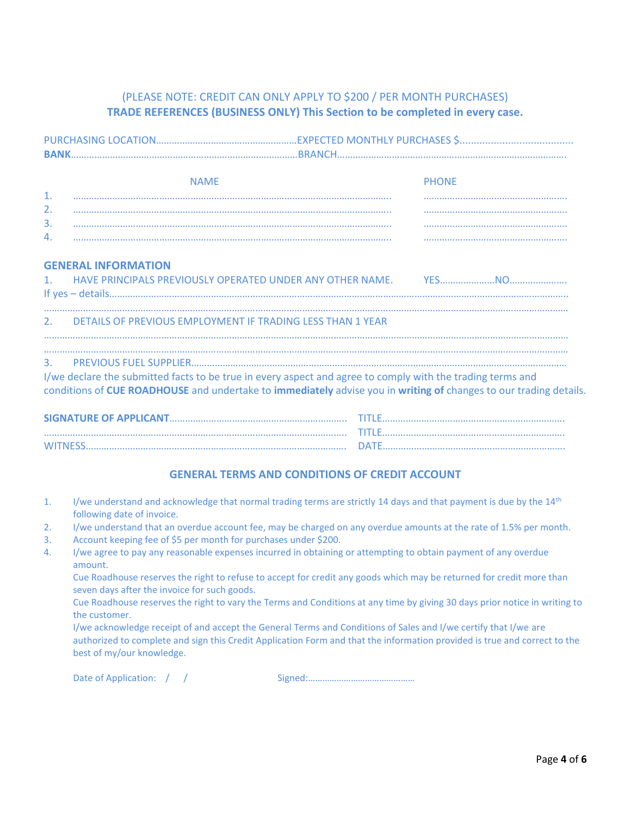# (PLEASE NOTE: CREDIT CAN ONLY APPLY TO \$200 / PER MONTH PURCHASES) **TRADE REFERENCES (BUSINESS ONLY) This Section to be completed in every case.**

|                | <b>NAME</b>                                                                                                       |  | <b>PHONE</b> |  |
|----------------|-------------------------------------------------------------------------------------------------------------------|--|--------------|--|
| $\mathbf{1}$ . |                                                                                                                   |  |              |  |
| 2.             |                                                                                                                   |  |              |  |
| 3.             |                                                                                                                   |  |              |  |
| 4.             |                                                                                                                   |  |              |  |
|                | <b>GENERAL INFORMATION</b>                                                                                        |  |              |  |
|                |                                                                                                                   |  |              |  |
|                |                                                                                                                   |  |              |  |
| 2.             | DETAILS OF PREVIOUS EMPLOYMENT IF TRADING LESS THAN 1 YEAR                                                        |  |              |  |
|                |                                                                                                                   |  |              |  |
| 3.             |                                                                                                                   |  |              |  |
|                | I/we declare the submitted facts to be true in every aspect and agree to comply with the trading terms and        |  |              |  |
|                | conditions of CUE ROADHOUSE and undertake to immediately advise you in writing of changes to our trading details. |  |              |  |
|                |                                                                                                                   |  |              |  |
|                |                                                                                                                   |  |              |  |
|                |                                                                                                                   |  |              |  |

## **GENERAL TERMS AND CONDITIONS OF CREDIT ACCOUNT**

- 1. I/we understand and acknowledge that normal trading terms are strictly 14 days and that payment is due by the  $14<sup>th</sup>$ following date of invoice.
- 2. I/we understand that an overdue account fee, may be charged on any overdue amounts at the rate of 1.5% per month.
- 3. Account keeping fee of \$5 per month for purchases under \$200.
- 4. I/we agree to pay any reasonable expenses incurred in obtaining or attempting to obtain payment of any overdue amount.

Cue Roadhouse reserves the right to refuse to accept for credit any goods which may be returned for credit more than seven days after the invoice for such goods.

Cue Roadhouse reserves the right to vary the Terms and Conditions at any time by giving 30 days prior notice in writing to the customer.

I/we acknowledge receipt of and accept the General Terms and Conditions of Sales and I/we certify that I/we are authorized to complete and sign this Credit Application Form and that the information provided is true and correct to the best of my/our knowledge.

Date of Application:  $/$  /  $/$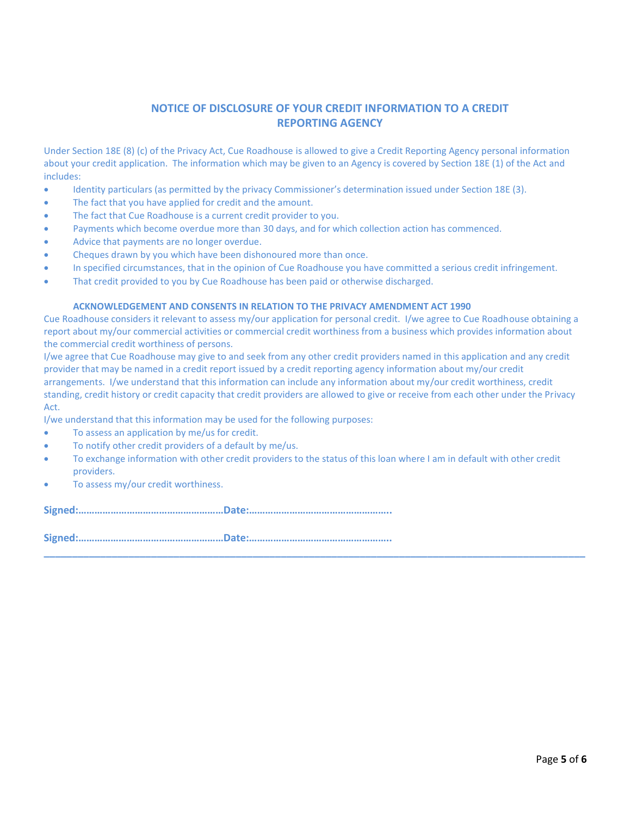# **NOTICE OF DISCLOSURE OF YOUR CREDIT INFORMATION TO A CREDIT REPORTING AGENCY**

Under Section 18E (8) (c) of the Privacy Act, Cue Roadhouse is allowed to give a Credit Reporting Agency personal information about your credit application. The information which may be given to an Agency is covered by Section 18E (1) of the Act and includes:

- Identity particulars (as permitted by the privacy Commissioner's determination issued under Section 18E (3).
- The fact that you have applied for credit and the amount.
- The fact that Cue Roadhouse is a current credit provider to you.
- Payments which become overdue more than 30 days, and for which collection action has commenced.
- Advice that payments are no longer overdue.
- Cheques drawn by you which have been dishonoured more than once.
- In specified circumstances, that in the opinion of Cue Roadhouse you have committed a serious credit infringement.
- That credit provided to you by Cue Roadhouse has been paid or otherwise discharged.

#### **ACKNOWLEDGEMENT AND CONSENTS IN RELATION TO THE PRIVACY AMENDMENT ACT 1990**

Cue Roadhouse considers it relevant to assess my/our application for personal credit. I/we agree to Cue Roadhouse obtaining a report about my/our commercial activities or commercial credit worthiness from a business which provides information about the commercial credit worthiness of persons.

I/we agree that Cue Roadhouse may give to and seek from any other credit providers named in this application and any credit provider that may be named in a credit report issued by a credit reporting agency information about my/our credit arrangements. I/we understand that this information can include any information about my/our credit worthiness, credit standing, credit history or credit capacity that credit providers are allowed to give or receive from each other under the Privacy Act.

I/we understand that this information may be used for the following purposes:

- To assess an application by me/us for credit.
- To notify other credit providers of a default by me/us.
- To exchange information with other credit providers to the status of this loan where I am in default with other credit providers.

**\_\_\_\_\_\_\_\_\_\_\_\_\_\_\_\_\_\_\_\_\_\_\_\_\_\_\_\_\_\_\_\_\_\_\_\_\_\_\_\_\_\_\_\_\_\_\_\_\_\_\_\_\_\_\_\_\_\_\_\_\_\_\_\_\_\_\_\_\_\_\_\_\_\_\_\_\_\_\_\_\_\_\_\_\_\_\_\_\_\_\_\_\_\_\_\_**

To assess my/our credit worthiness.

**Signed:………………………………………………Date:……………………………………………..**

**Signed:………………………………………………Date:……………………………………………..**